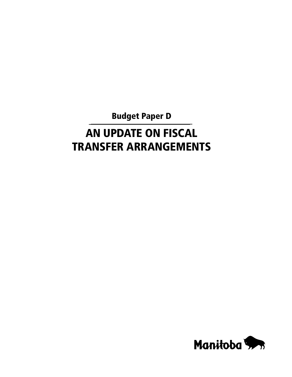Budget Paper D

# An Update on Fiscal Transfer Arrangements

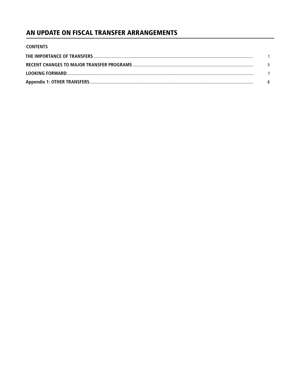# AN UPDATE ON FISCAL TRANSFER ARRANGEMENTS

| <b>CONTENTS</b> |  |
|-----------------|--|
|                 |  |
|                 |  |
|                 |  |
|                 |  |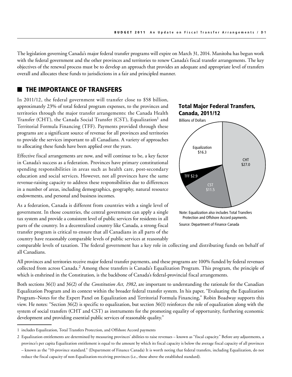The legislation governing Canada's major federal transfer programs will expire on March 31, 2014. Manitoba has begun work with the federal government and the other provinces and territories to renew Canada's fiscal transfer arrangements. The key objectives of the renewal process must be to develop an approach that provides an adequate and appropriate level of transfers overall and allocates these funds to jurisdictions in a fair and principled manner.

# THE IMPORTANCE OF TRANSFERS

In 2011/12, the federal government will transfer close to \$58 billion, approximately 23% of total federal program expenses, to the provinces and territories through the major transfer arrangements: the Canada Health Transfer (CHT), the Canada Social Transfer (CST), Equalization<sup>1</sup> and Territorial Formula Financing (TFF). Payments provided through these programs are a significant source of revenue for all provinces and territories to provide the services important to all Canadians. A variety of approaches to allocating these funds have been applied over the years.

Effective fiscal arrangements are now, and will continue to be, a key factor in Canada's success as a federation. Provinces have primary constitutional spending responsibilities in areas such as health care, post-secondary education and social services. However, not all provinces have the same revenue-raising capacity to address these responsibilities due to differences in a number of areas, including demographics, geography, natural resource endowments, and personal and business incomes.

As a federation, Canada is different from countries with a single level of government. In those countries, the central government can apply a single tax system and provide a consistent level of public services for residents in all parts of the country. In a decentralized country like Canada, a strong fiscal transfer program is critical to ensure that all Canadians in all parts of the country have reasonably comparable levels of public services at reasonably



Source: Department of Finance Canada Protection and Offshore Accord payments.

comparable levels of taxation. The federal government has a key role in collecting and distributing funds on behalf of all Canadians.

All provinces and territories receive major federal transfer payments, and these programs are 100% funded by federal revenues collected from across Canada.<sup>2</sup> Among these transfers is Canada's Equalization Program. This program, the principle of which is enshrined in the Constitution, is the backbone of Canada's federal-provincial fiscal arrangements. is are 100% funded by riscal arrangements.

Both sections 36(1) and 36(2) of the *Constitution Act, 1982*, are important to understanding the rationale for the Canadian Equalization Program and its context within the broader federal transfer system. In his paper, "Evaluating the Equalization Program–Notes for the Expert Panel on Equalization and Territorial Formula Financing," Robin Boadway supports this view. He notes: "Section 36(2) is specific to equalization, but section 36(1) reinforces the role of equalization along with the system of social transfers (CHT and CST) as instruments for the promoting equality of opportunity, furthering economic development and providing essential public services of reasonable quality."

reduce the fiscal capacity of non-Equalization-receiving provinces (i.e., those above the established standard).

<sup>1</sup> includes Equalization, Total Transfers Protection, and Offshore Accord payments

<sup>2</sup> Equalization entitlements are determined by measuring provinces' abilities to raise revenues – known as "fiscal capacity." Before any adjustments, a province's per capita Equalization entitlement is equal to the amount by which its fiscal capacity is below the average fiscal capacity of all provinces – known as the "10-province standard." (Department of Finance Canada) It is worth noting that federal transfers, including Equalization, do not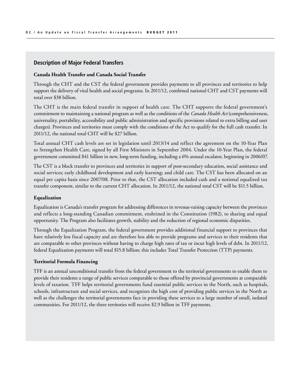#### **Description of Major Federal Transfers**

#### **Canada Health Transfer and Canada Social Transfer**

Through the CHT and the CST the federal government provides payments to all provinces and territories to help support the delivery of vital health and social programs. In 2011/12, combined national CHT and CST payments will total over \$38 billion.

The CHT is the main federal transfer in support of health care. The CHT supports the federal government's commitment to maintaining a national program as well as the conditions of the *Canada Health Act* (comprehensiveness, universality, portability, accessibility and public administration and specific provisions related to extra billing and user charges). Provinces and territories must comply with the conditions of the Act to qualify for the full cash transfer. In 2011/12, the national total CHT will be \$27 billion.

Total annual CHT cash levels are set in legislation until 2013/14 and reflect the agreement on the 10-Year Plan to Strengthen Health Care, signed by all First Ministers in September 2004. Under the 10-Year Plan, the federal government committed \$41 billion in new, long-term funding, including a 6% annual escalator, beginning in 2006/07.

The CST is a block transfer to provinces and territories in support of post-secondary education, social assistance and social services; early childhood development and early learning; and child care. The CST has been allocated on an equal per capita basis since 2007/08. Prior to that, the CST allocation included cash and a notional equalized tax transfer component, similar to the current CHT allocation. In 2011/12, the national total CST will be \$11.5 billion.

#### **Equalization**

Equalization is Canada's transfer program for addressing differences in revenue-raising capacity between the provinces and reflects a long-standing Canadian commitment, enshrined in the Constitution (1982), to sharing and equal opportunity. The Program also facilitates growth, stability and the reduction of regional economic disparities.

Through the Equalization Program, the federal government provides additional financial support to provinces that have relatively less fiscal capacity and are therefore less able to provide programs and services to their residents that are comparable to other provinces without having to charge high rates of tax or incur high levels of debt. In 2011/12, federal Equalization payments will total \$15.8 billion; this includes Total Transfer Protection (TTP) payments.

#### **Territorial Formula Financing**

TFF is an annual unconditional transfer from the federal government to the territorial governments to enable them to provide their residents a range of public services comparable to those offered by provincial governments at comparable levels of taxation. TFF helps territorial governments fund essential public services in the North, such as hospitals, schools, infrastructure and social services, and recognizes the high cost of providing public services in the North as well as the challenges the territorial governments face in providing these services to a large number of small, isolated communities. For 2011/12, the three territories will receive \$2.9 billion in TFF payments.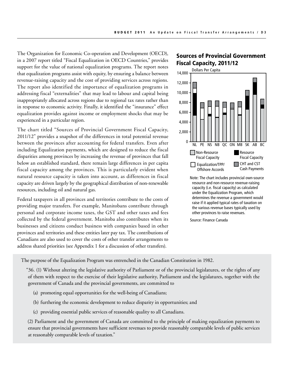The Organization for Economic Co-operation and Development (OECD), in a 2007 report titled "Fiscal Equalization in OECD Countries," provides support for the value of national equalization programs. The report notes that equalization programs assist with equity, by ensuring a balance between revenue-raising capacity and the cost of providing services across regions. The report also identified the importance of equalization programs in addressing fiscal "externalities" that may lead to labour and capital being inappropriately allocated across regions due to regional tax rates rather than in response to economic activity. Finally, it identified the "insurance" effect equalization provides against income or employment shocks that may be experienced in a particular region.

The chart titled "Sources of Provincial Government Fiscal Capacity, 2011/12" provides a snapshot of the differences in total potential revenue between the provinces after accounting for federal transfers. Even after including Equalization payments, which are designed to reduce the fiscal disparities among provinces by increasing the revenue of provinces that fall below an established standard, there remain large differences in per capita fiscal capacity among the provinces. This is particularly evident when natural resource capacity is taken into account, as differences in fiscal capacity are driven largely by the geographical distribution of non-renewable resources, including oil and natural gas.

Federal taxpayers in all provinces and territories contribute to the costs of providing major transfers. For example, Manitobans contribute through personal and corporate income taxes, the GST and other taxes and fees collected by the federal government. Manitoba also contributes when its businesses and citizens conduct business with companies based in other provinces and territories and these entities later pay tax. The contributions of Canadians are also used to cover the costs of other transfer arrangements to address shared priorities (see Appendix 1 for a discussion of other transfers).

# Sources of Provincial Government Fiscal Capacity, 2011/12



resource and non-resource revenue-raising capacity (i.e. fiscal capacity) as calculated under the Equalization Program, which determines the revenue a government would raise if it applied typical rates of taxation on the various revenue bases typically used by other provinces to raise revenues.

Source: Finance Canada

 $\frac{1}{2}$ The purpose of the Equalization Program was entrenched in the Canadian Constitution in 1982.

"36. (1) Without altering the legislative authority of Parliament or of the provincial legislatures, or the rights of any of them with respect to the exercise of their legislative authority, Parliament and the legislatures, together with the government of Canada and the provincial governments, are committed to

- (a) promoting equal opportunities for the well-being of Canadians;
- (b) furthering the economic development to reduce disparity in opportunities; and
- (c) providing essential public services of reasonable quality to all Canadians.

(2) Parliament and the government of Canada are committed to the principle of making equalization payments to ensure that provincial governments have sufficient revenues to provide reasonably comparable levels of public services at reasonably comparable levels of taxation."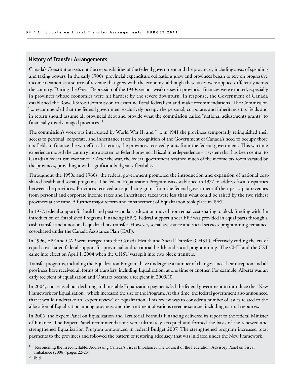#### **History of Transfer Arrangements**

Canada's Constitution sets out the responsibilities of the federal government and the provinces, including areas of spending and taxing powers. In the early 1900s, provincial expenditure obligations grew and provinces began to rely on progressive income taxation as a source of revenue that grew with the economy, although these taxes were applied differently across the country. During the Great Depression of the 1930s serious weaknesses in provincial finances were exposed, especially in provinces whose economies were hit hardest by the severe downturn. In response, the Government of Canada established the Rowell-Sirois Commission to examine fiscal federalism and make recommendations. The Commission " ... recommended that the federal government exclusively occupy the personal, corporate, and inheritance tax fields and in return should assume all provincial debt and provide what the commission called "national adjustments grants" to financially disadvantaged provinces."1

The commission's work was interrupted by World War II, and " ... in 1941 the provinces temporarily relinquished their access to personal, corporate, and inheritance taxes in recognition of the Government of Canada's need to occupy those tax fields to finance the war effort. In return, the provinces received grants from the federal government. This wartime experience moved the country into a system of federal-provincial fiscal interdependence – a system that has been central to Canadian federalism ever since."2 After the war, the federal government retained much of the income tax room vacated by the provinces, providing it with significant budgetary flexibility.

Throughout the 1950s and 1960s, the federal government promoted the introduction and expansion of national costshared health and social programs. The federal Equalization Program was established in 1957 to address fiscal disparities between the provinces. Provinces received an equalizing grant from the federal government if their per capita revenues from personal and corporate income taxes and inheritance taxes were less than what could be raised by the two richest provinces at the time. A further major reform and enhancement of Equalization took place in 1967.

In 1977, federal support for health and post-secondary education moved from equal cost-sharing to block funding with the introduction of Established Programs Financing (EPF). Federal support under EPF was provided in equal parts through a cash transfer and a notional equalized tax transfer. However, social assistance and social services programming remained cost-shared under the Canada Assistance Plan (CAP).

In 1996, EPF and CAP were merged into the Canada Health and Social Transfer (CHST), effectively ending the era of equal cost-shared federal support for provincial and territorial health and social programming. The CHT and the CST came into effect on April 1, 2004 when the CHST was split into two block transfers.

Transfer programs, including the Equalization Program, have undergone a number of changes since their inception and all provinces have received all forms of transfers, including Equalization, at one time or another. For example, Alberta was an early recipient of equalization and Ontario became a recipient in 2009/10.

In 2004, concerns about declining and unstable Equalization payments led the federal government to introduce the "New Framework for Equalization," which increased the size of the Program. At this time, the federal government also announced that it would undertake an "expert review" of Equalization. This review was to consider a number of issues related to the allocation of Equalization among provinces and the treatment of various revenue sources, including natural resources.

In 2006, the Expert Panel on Equalization and Territorial Formula Financing delivered its report to the federal Minister of Finance. The Expert Panel recommendations were ultimately accepted and formed the basis of the renewed and strengthened Equalization Program announced in federal Budget 2007. The strengthened program increased total payments to the provinces and followed the pattern of restoring adequacy that was initiated under the New Framework.

<sup>1</sup> Reconciling the Irreconcilable: Addressing Canada's Fiscal Imbalance, The Council of the Federation, Advisory Panel on Fiscal Imbalance (2006) (pages 22-23).

<sup>2</sup> ibid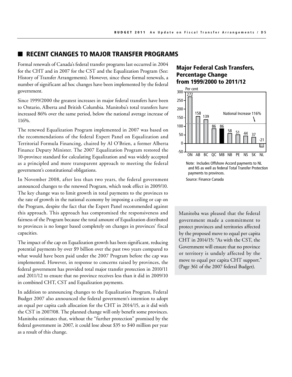## RECENT CHANGES TO MAJOR TRANSFER PROGRAMS

Formal renewals of Canada's federal transfer programs last occurred in 2004 for the CHT and in 2007 for the CST and the Equalization Program (See: History of Transfer Arrangements). However, since these formal renewals, a number of significant ad hoc changes have been implemented by the federal government.

Since 1999/2000 the greatest increases in major federal transfers have been to Ontario, Alberta and British Columbia. Manitoba's total transfers have increased 86% over the same period, below the national average increase of 116%.

The renewed Equalization Program implemented in 2007 was based on the recommendations of the federal Expert Panel on Equalization and Territorial Formula Financing, chaired by Al O'Brien, a former Alberta Finance Deputy Minister. The 2007 Equalization Program restored the 10-province standard for calculating Equalization and was widely accepted as a principled and more transparent approach to meeting the federal government's constitutional obligations.

In November 2008, after less than two years, the federal government announced changes to the renewed Program, which took effect in 2009/10. The key change was to limit growth in total payments to the provinces to the rate of growth in the national economy by imposing a ceiling or cap on the Program, despite the fact that the Expert Panel recommended against this approach. This approach has compromised the responsiveness and fairness of the Program because the total amount of Equalization distributed to provinces is no longer based completely on changes in provinces' fiscal capacities.

The impact of the cap on Equalization growth has been significant, reducing potential payments by over \$9 billion over the past two years compared to what would have been paid under the 2007 Program before the cap was implemented. However, in response to concerns raised by provinces, the federal government has provided total major transfer protection in 2010/11 and 2011/12 to ensure that no province receives less than it did in 2009/10 in combined CHT, CST and Equalization payments.

In addition to announcing changes to the Equalization Program, Federal Budget 2007 also announced the federal government's intention to adopt an equal per capita cash allocation for the CHT in 2014/15, as it did with the CST in 2007/08. The planned change will only benefit some provinces. Manitoba estimates that, without the "further protection" promised by the federal government in 2007, it could lose about \$35 to \$40 million per year as a result of this change.

## Major Federal Cash Transfers, Percentage Change from 1999/2000 to 2011/12



Source: Finance Canada

File: Federal\_Cash\_Transfers\_11.ai or territory is unduly affected by the move to equal per capita CHT support." (Page 361 of the 2007 federal Budget). Manitoba was pleased that the federal government made a commitment to protect provinces and territories affected by the proposed move to equal per capita CHT in 2014/15: "As with the CST, the Government will ensure that no province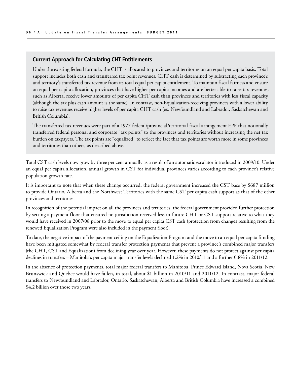#### **Current Approach for Calculating CHT Entitlements**

Under the existing federal formula, the CHT is allocated to provinces and territories on an equal per capita basis. Total support includes both cash and transferred tax point revenues. CHT cash is determined by subtracting each province's and territory's transferred tax revenue from its total equal per capita entitlement. To maintain fiscal fairness and ensure an equal per capita allocation, provinces that have higher per capita incomes and are better able to raise tax revenues, such as Alberta, receive lower amounts of per capita CHT cash than provinces and territories with less fiscal capacity (although the tax plus cash amount is the same). In contrast, non-Equalization-receiving provinces with a lower ability to raise tax revenues receive higher levels of per capita CHT cash (ex. Newfoundland and Labrador, Saskatchewan and British Columbia).

The transferred tax revenues were part of a 1977 federal/provincial/territorial fiscal arrangement EPF that notionally transferred federal personal and corporate "tax points" to the provinces and territories without increasing the net tax burden on taxpayers. The tax points are "equalized" to reflect the fact that tax points are worth more in some provinces and territories than others, as described above.

Total CST cash levels now grow by three per cent annually as a result of an automatic escalator introduced in 2009/10. Under an equal per capita allocation, annual growth in CST for individual provinces varies according to each province's relative population growth rate.

It is important to note that when these change occurred, the federal government increased the CST base by \$687 million to provide Ontario, Alberta and the Northwest Territories with the same CST per capita cash support as that of the other provinces and territories.

In recognition of the potential impact on all the provinces and territories, the federal government provided further protection by setting a payment floor that ensured no jurisdiction received less in future CHT or CST support relative to what they would have received in 2007/08 prior to the move to equal per capita CST cash (protection from changes resulting from the renewed Equalization Program were also included in the payment floor).

To date, the negative impact of the payment ceiling on the Equalization Program and the move to an equal per capita funding have been mitigated somewhat by federal transfer protection payments that prevent a province's combined major transfers (the CHT, CST and Equalization) from declining year over year. However, these payments do not protect against per capita declines in transfers – Manitoba's per capita major transfer levels declined 1.2% in 2010/11 and a further 0.8% in 2011/12.

In the absence of protection payments, total major federal transfers to Manitoba, Prince Edward Island, Nova Scotia, New Brunswick and Quebec would have fallen, in total, about \$1 billion in 2010/11 and 2011/12. In contrast, major federal transfers to Newfoundland and Labrador, Ontario, Saskatchewan, Alberta and British Columbia have increased a combined \$4.2 billion over those two years.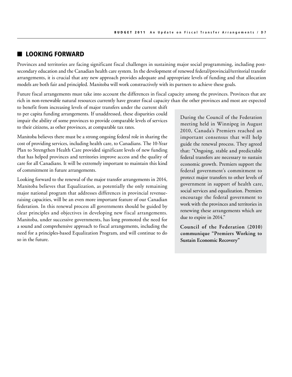# ■ LOOKING FORWARD

Provinces and territories are facing significant fiscal challenges in sustaining major social programming, including postsecondary education and the Canadian health care system. In the development of renewed federal/provincial/territorial transfer arrangements, it is crucial that any new approach provides adequate and appropriate levels of funding and that allocation models are both fair and principled. Manitoba will work constructively with its partners to achieve these goals.

Future fiscal arrangements must take into account the differences in fiscal capacity among the provinces. Provinces that are rich in non-renewable natural resources currently have greater fiscal capacity than the other provinces and most are expected

to benefit from increasing levels of major transfers under the current shift to per capita funding arrangements. If unaddressed, these disparities could impair the ability of some provinces to provide comparable levels of services to their citizens, as other provinces, at comparable tax rates.

Manitoba believes there must be a strong ongoing federal role in sharing the cost of providing services, including health care, to Canadians. The 10-Year Plan to Strengthen Health Care provided significant levels of new funding that has helped provinces and territories improve access and the quality of care for all Canadians. It will be extremely important to maintain this kind of commitment in future arrangements.

Looking forward to the renewal of the major transfer arrangements in 2014, Manitoba believes that Equalization, as potentially the only remaining major national program that addresses differences in provincial revenueraising capacities, will be an even more important feature of our Canadian federation. In this renewal process all governments should be guided by clear principles and objectives in developing new fiscal arrangements. Manitoba, under successive governments, has long promoted the need for a sound and comprehensive approach to fiscal arrangements, including the need for a principles-based Equalization Program, and will continue to do so in the future.

During the Council of the Federation meeting held in Winnipeg in August 2010, Canada's Premiers reached an important consensus that will help guide the renewal process. They agreed that: "Ongoing, stable and predictable federal transfers are necessary to sustain economic growth. Premiers support the federal government's commitment to protect major transfers to other levels of government in support of health care, social services and equalization. Premiers encourage the federal government to work with the provinces and territories in renewing these arrangements which are due to expire in 2014."

**Council of the Federation (2010) communique "Premiers Working to Sustain Economic Recovery"**